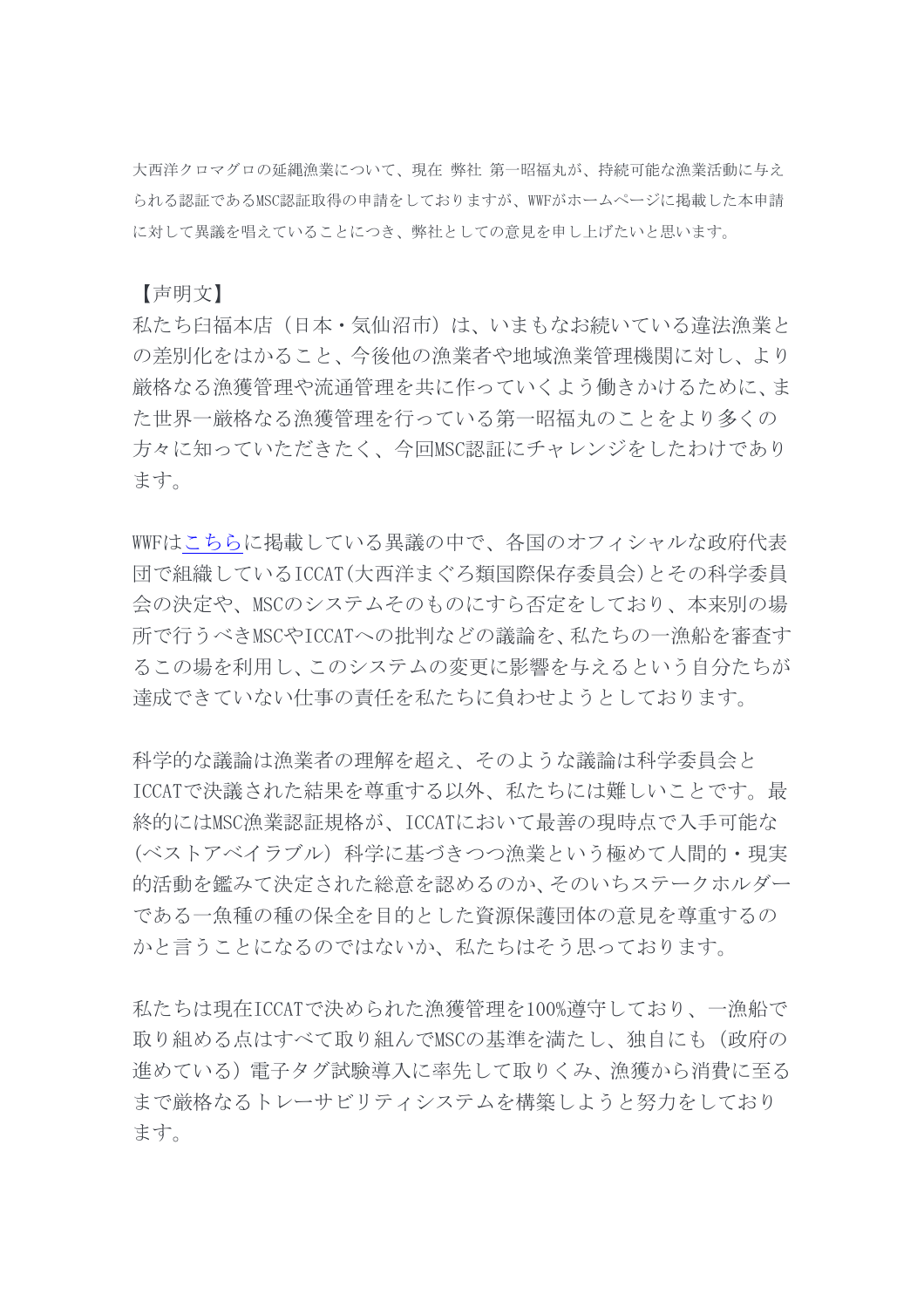大西洋クロマグロの延縄漁業について、現在 弊社 第一昭福丸が、持続可能な漁業活動に与え られる認証であるMSC認証取得の申請をしておりますが、WWFがホームページに掲載した本申請 に対して異議を唱えていることにつき、弊社としての意見を申し上げたいと思います。

【声明文】

私たち臼福本店(日本・気仙沼市)は、いまもなお続いている違法漁業と の差別化をはかること、今後他の漁業者や地域漁業管理機関に対し、より 厳格なる漁獲管理や流通管理を共に作っていくよう働きかけるために、ま た世界一厳格なる漁獲管理を行っている第一昭福丸のことをより多くの 方々に知っていただきたく、今回MSC認証にチャレンジをしたわけであり ます。

WWF[はこちらに](https://wwf.panda.org/wwf_news/?358650/WWF-calls-out-MSC-for-proposed-certification-of-bluefin-tuna)掲載している異議の中で、各国のオフィシャルな政府代表 団で組織しているICCAT(大西洋まぐろ類国際保存委員会)とその科学委員 会の決定や、MSCのシステムそのものにすら否定をしており、本来別の場 所で行うべきMSCやICCATへの批判などの議論を、私たちの一漁船を審査す るこの場を利用し、このシステムの変更に影響を与えるという自分たちが 達成できていない仕事の責任を私たちに負わせようとしております。

科学的な議論は漁業者の理解を超え、そのような議論は科学委員会と ICCATで決議された結果を尊重する以外、私たちには難しいことです。最 終的にはMSC漁業認証規格が、ICCATにおいて最善の現時点で入手可能な (ベストアベイラブル) 科学に基づきつつ漁業という極めて人間的・現実 的活動を鑑みて決定された総意を認めるのか、そのいちステークホルダー である一魚種の種の保全を目的とした資源保護団体の意見を尊重するの かと言うことになるのではないか、私たちはそう思っております。

私たちは現在ICCATで決められた漁獲管理を100%遵守しており、一漁船で 取り組める点はすべて取り組んでMSCの基準を満たし、独自にも(政府の 進めている)電子タグ試験導入に率先して取りくみ、漁獲から消費に至る まで厳格なるトレーサビリティシステムを構築しようと努力をしており ます。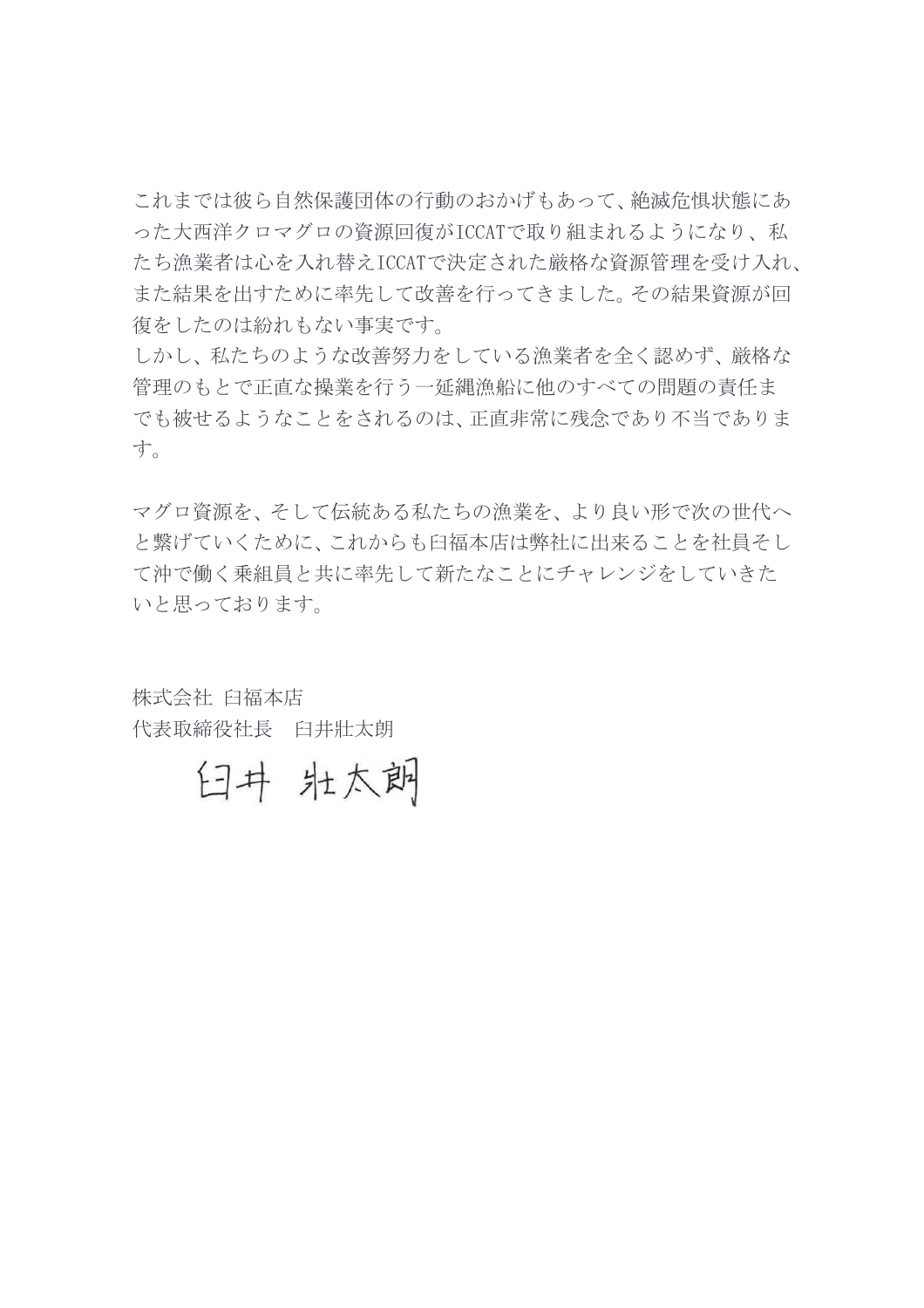これまでは彼ら自然保護団体の行動のおかげもあって、絶滅危惧状態にあ った大西洋クロマグロの資源回復がICCATで取り組まれるようになり、私 たち漁業者は心を入れ替えICCATで決定された厳格な資源管理を受け入れ、 また結果を出すために率先して改善を行ってきました。その結果資源が回 復をしたのは紛れもない事実です。

しかし、私たちのような改善努力をしている漁業者を全く認めず、厳格な 管理のもとで正直な操業を行う一延縄漁船に他のすべての問題の責任ま でも被せるようなことをされるのは、正直非常に残念であり不当でありま す。

マグロ資源を、そして伝統ある私たちの漁業を、より良い形で次の世代へ と繋げていくために、これからも臼福本店は弊社に出来ることを社員そし て沖で働く乗組員と共に率先して新たなことにチャレンジをしていきた いと思っております。

株式会社 臼福本店 代表取締役社長 臼井壯太朗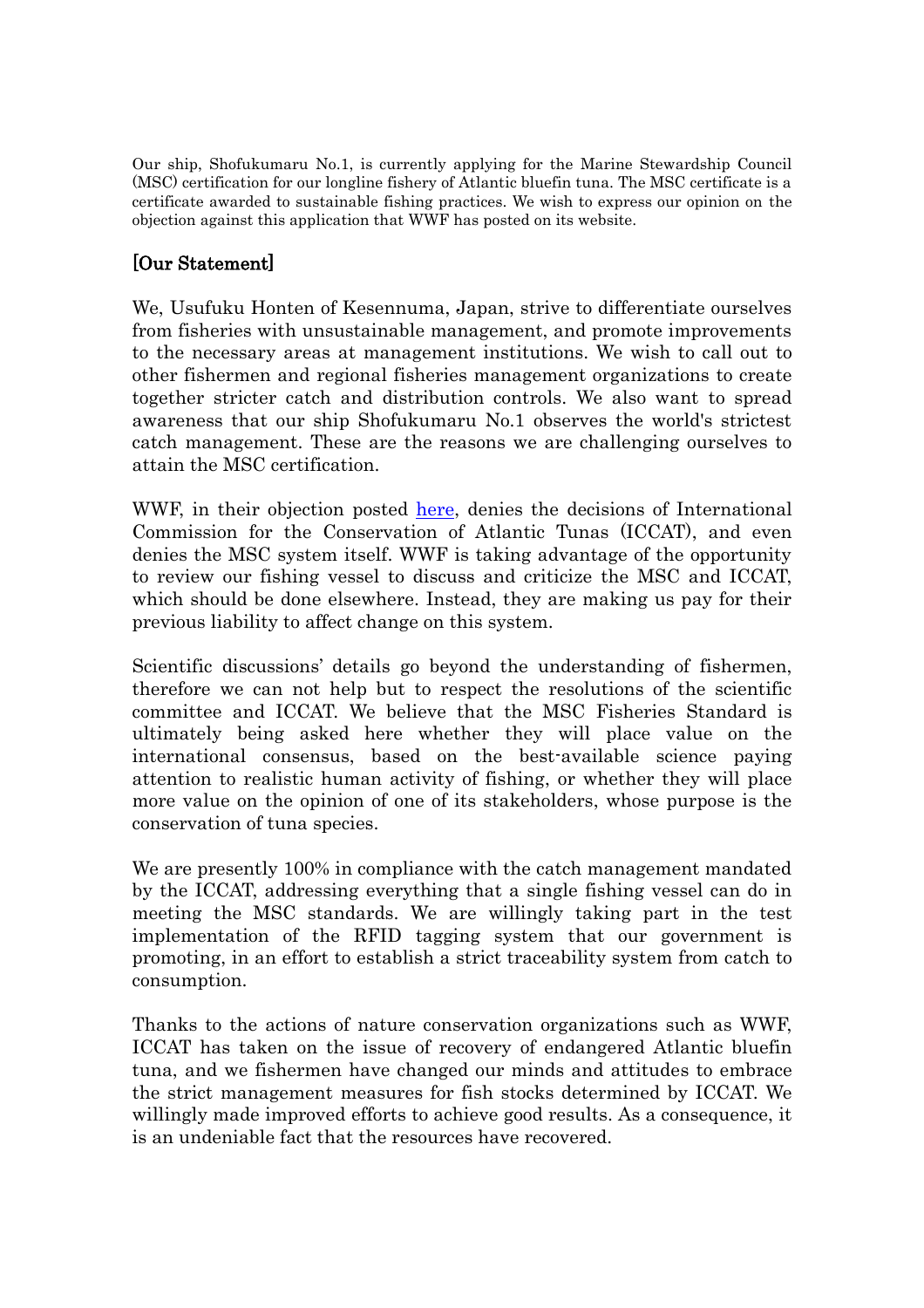Our ship, Shofukumaru No.1, is currently applying for the Marine Stewardship Council (MSC) certification for our longline fishery of Atlantic bluefin tuna. The MSC certificate is a certificate awarded to sustainable fishing practices. We wish to express our opinion on the objection against this application that WWF has posted on its website.

## [Our Statement]

We, Usufuku Honten of Kesennuma, Japan, strive to differentiate ourselves from fisheries with unsustainable management, and promote improvements to the necessary areas at management institutions. We wish to call out to other fishermen and regional fisheries management organizations to create together stricter catch and distribution controls. We also want to spread awareness that our ship Shofukumaru No.1 observes the world's strictest catch management. These are the reasons we are challenging ourselves to attain the MSC certification.

WWF, in their objection posted [here,](https://wwf.panda.org/wwf_news/?358650/WWF-calls-out-MSC-for-proposed-certification-of-bluefin-tuna) denies the decisions of International Commission for the Conservation of Atlantic Tunas (ICCAT), and even denies the MSC system itself. WWF is taking advantage of the opportunity to review our fishing vessel to discuss and criticize the MSC and ICCAT, which should be done elsewhere. Instead, they are making us pay for their previous liability to affect change on this system.

Scientific discussions' details go beyond the understanding of fishermen, therefore we can not help but to respect the resolutions of the scientific committee and ICCAT. We believe that the MSC Fisheries Standard is ultimately being asked here whether they will place value on the international consensus, based on the best-available science paying attention to realistic human activity of fishing, or whether they will place more value on the opinion of one of its stakeholders, whose purpose is the conservation of tuna species.

We are presently 100% in compliance with the catch management mandated by the ICCAT, addressing everything that a single fishing vessel can do in meeting the MSC standards. We are willingly taking part in the test implementation of the RFID tagging system that our government is promoting, in an effort to establish a strict traceability system from catch to consumption.

Thanks to the actions of nature conservation organizations such as WWF, ICCAT has taken on the issue of recovery of endangered Atlantic bluefin tuna, and we fishermen have changed our minds and attitudes to embrace the strict management measures for fish stocks determined by ICCAT. We willingly made improved efforts to achieve good results. As a consequence, it is an undeniable fact that the resources have recovered.